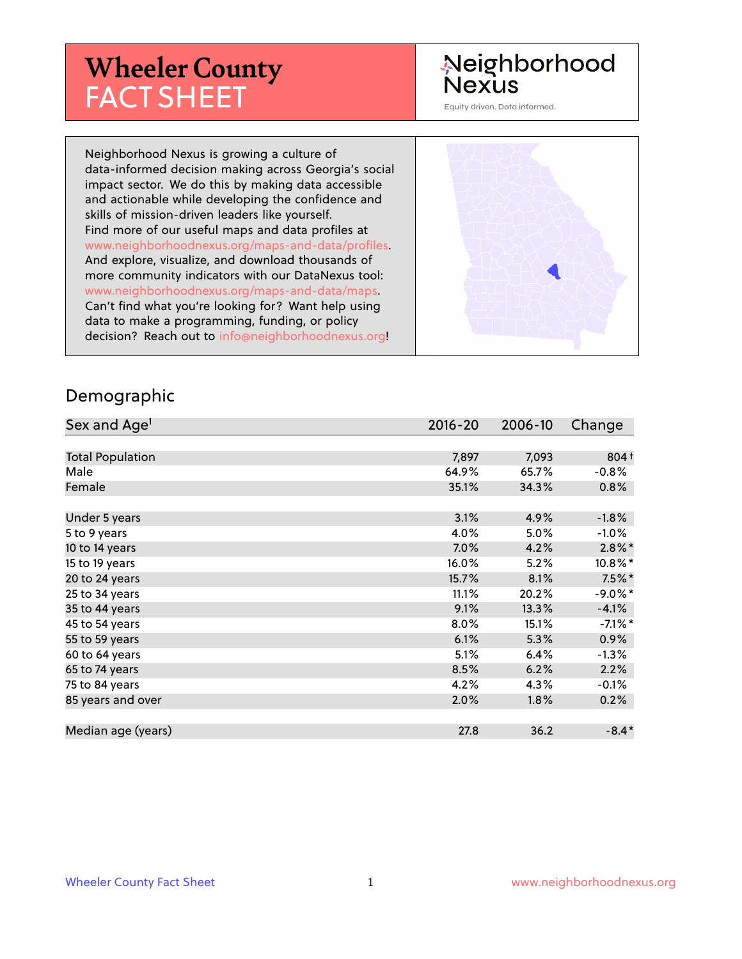# **Wheeler County** FACT SHEET

#### Neighborhood **Nexus**

Equity driven. Data informed.

Neighborhood Nexus is growing a culture of data-informed decision making across Georgia's social impact sector. We do this by making data accessible and actionable while developing the confidence and skills of mission-driven leaders like yourself. Find more of our useful maps and data profiles at www.neighborhoodnexus.org/maps-and-data/profiles. And explore, visualize, and download thousands of more community indicators with our DataNexus tool: www.neighborhoodnexus.org/maps-and-data/maps. Can't find what you're looking for? Want help using data to make a programming, funding, or policy decision? Reach out to [info@neighborhoodnexus.org!](mailto:info@neighborhoodnexus.org)



#### Demographic

| Sex and Age <sup>1</sup> | $2016 - 20$ | 2006-10 | Change     |
|--------------------------|-------------|---------|------------|
|                          |             |         |            |
| <b>Total Population</b>  | 7,897       | 7,093   | 804 +      |
| Male                     | 64.9%       | 65.7%   | $-0.8%$    |
| Female                   | 35.1%       | 34.3%   | 0.8%       |
|                          |             |         |            |
| Under 5 years            | 3.1%        | 4.9%    | $-1.8%$    |
| 5 to 9 years             | 4.0%        | 5.0%    | $-1.0\%$   |
| 10 to 14 years           | 7.0%        | 4.2%    | $2.8\%$ *  |
| 15 to 19 years           | 16.0%       | 5.2%    | 10.8%*     |
| 20 to 24 years           | 15.7%       | 8.1%    | $7.5\%$ *  |
| 25 to 34 years           | 11.1%       | 20.2%   | $-9.0\%$ * |
| 35 to 44 years           | 9.1%        | 13.3%   | $-4.1%$    |
| 45 to 54 years           | 8.0%        | 15.1%   | $-7.1\%$ * |
| 55 to 59 years           | 6.1%        | 5.3%    | $0.9\%$    |
| 60 to 64 years           | 5.1%        | 6.4%    | $-1.3%$    |
| 65 to 74 years           | 8.5%        | 6.2%    | 2.2%       |
| 75 to 84 years           | 4.2%        | 4.3%    | $-0.1%$    |
| 85 years and over        | 2.0%        | 1.8%    | 0.2%       |
|                          |             |         |            |
| Median age (years)       | 27.8        | 36.2    | $-8.4*$    |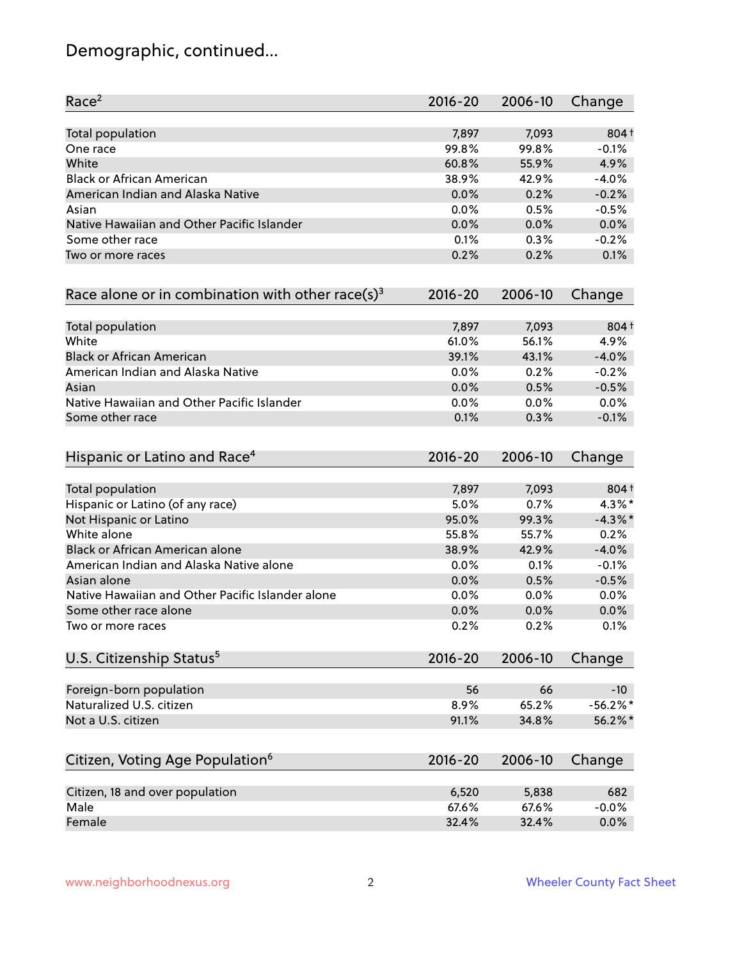# Demographic, continued...

| Race <sup>2</sup>                                            | $2016 - 20$ | 2006-10 | Change     |
|--------------------------------------------------------------|-------------|---------|------------|
| <b>Total population</b>                                      | 7,897       | 7,093   | $804+$     |
| One race                                                     | 99.8%       | 99.8%   | $-0.1%$    |
| White                                                        | 60.8%       | 55.9%   | 4.9%       |
| <b>Black or African American</b>                             | 38.9%       | 42.9%   | $-4.0%$    |
| American Indian and Alaska Native                            | 0.0%        | 0.2%    | $-0.2%$    |
| Asian                                                        | 0.0%        | 0.5%    | $-0.5%$    |
| Native Hawaiian and Other Pacific Islander                   | 0.0%        | 0.0%    | 0.0%       |
| Some other race                                              | 0.1%        | 0.3%    | $-0.2%$    |
| Two or more races                                            | 0.2%        | 0.2%    | 0.1%       |
| Race alone or in combination with other race(s) <sup>3</sup> | $2016 - 20$ | 2006-10 | Change     |
| Total population                                             | 7,897       | 7,093   | 804 +      |
| White                                                        | 61.0%       | 56.1%   | 4.9%       |
| <b>Black or African American</b>                             | 39.1%       | 43.1%   | $-4.0%$    |
| American Indian and Alaska Native                            | 0.0%        | 0.2%    | $-0.2%$    |
| Asian                                                        | 0.0%        | 0.5%    | $-0.5%$    |
| Native Hawaiian and Other Pacific Islander                   | 0.0%        | 0.0%    | 0.0%       |
| Some other race                                              | 0.1%        | 0.3%    | $-0.1%$    |
| Hispanic or Latino and Race <sup>4</sup>                     | $2016 - 20$ | 2006-10 | Change     |
| Total population                                             | 7,897       | 7,093   | $804+$     |
| Hispanic or Latino (of any race)                             | 5.0%        | 0.7%    | $4.3\%$ *  |
| Not Hispanic or Latino                                       | 95.0%       | 99.3%   | $-4.3\%$ * |
| White alone                                                  | 55.8%       | 55.7%   | 0.2%       |
| Black or African American alone                              | 38.9%       | 42.9%   | $-4.0%$    |
| American Indian and Alaska Native alone                      | 0.0%        | 0.1%    | $-0.1%$    |
| Asian alone                                                  | 0.0%        | 0.5%    | $-0.5%$    |
| Native Hawaiian and Other Pacific Islander alone             | 0.0%        | 0.0%    | 0.0%       |
| Some other race alone                                        | 0.0%        | 0.0%    | 0.0%       |
| Two or more races                                            | 0.2%        | 0.2%    | 0.1%       |
| U.S. Citizenship Status <sup>5</sup>                         | $2016 - 20$ | 2006-10 | Change     |
| Foreign-born population                                      | 56          | 66      | $-10$      |
| Naturalized U.S. citizen                                     | 8.9%        | 65.2%   | $-56.2%$   |
| Not a U.S. citizen                                           | 91.1%       | 34.8%   | 56.2%*     |
|                                                              |             |         |            |
| Citizen, Voting Age Population <sup>6</sup>                  | $2016 - 20$ | 2006-10 | Change     |
| Citizen, 18 and over population                              | 6,520       | 5,838   | 682        |
| Male                                                         | 67.6%       | 67.6%   | $-0.0%$    |
| Female                                                       | 32.4%       | 32.4%   | 0.0%       |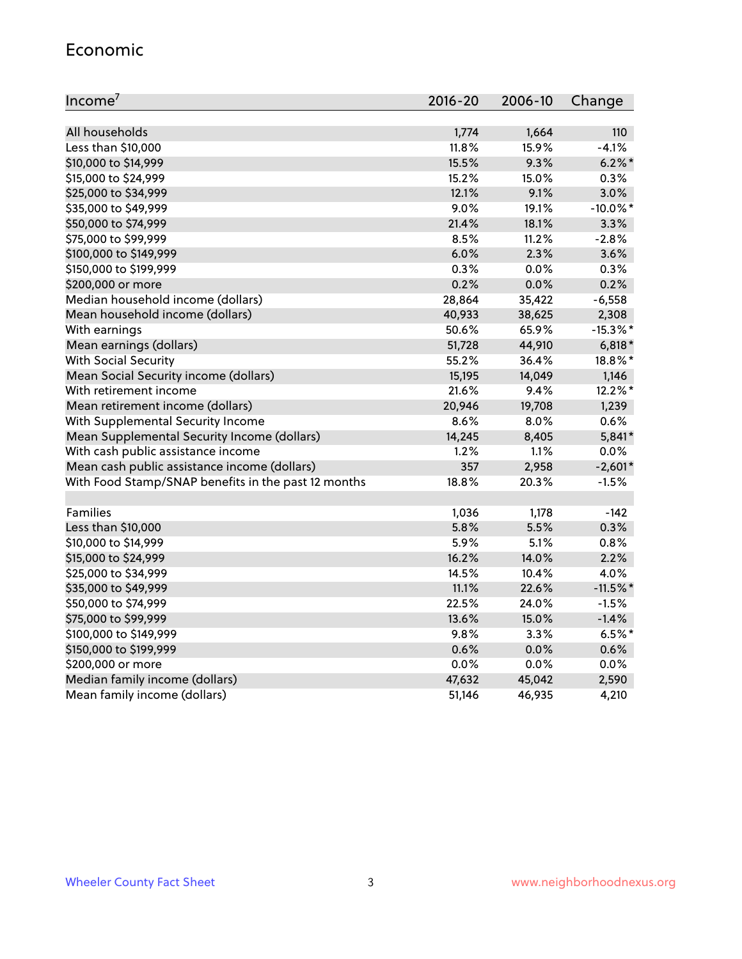#### Economic

| Income <sup>7</sup>                                 | $2016 - 20$ | 2006-10 | Change      |
|-----------------------------------------------------|-------------|---------|-------------|
|                                                     |             |         |             |
| All households                                      | 1,774       | 1,664   | 110         |
| Less than \$10,000                                  | 11.8%       | 15.9%   | $-4.1%$     |
| \$10,000 to \$14,999                                | 15.5%       | 9.3%    | $6.2\%$ *   |
| \$15,000 to \$24,999                                | 15.2%       | 15.0%   | 0.3%        |
| \$25,000 to \$34,999                                | 12.1%       | 9.1%    | 3.0%        |
| \$35,000 to \$49,999                                | 9.0%        | 19.1%   | $-10.0\%$ * |
| \$50,000 to \$74,999                                | 21.4%       | 18.1%   | 3.3%        |
| \$75,000 to \$99,999                                | 8.5%        | 11.2%   | $-2.8%$     |
| \$100,000 to \$149,999                              | 6.0%        | 2.3%    | 3.6%        |
| \$150,000 to \$199,999                              | 0.3%        | 0.0%    | 0.3%        |
| \$200,000 or more                                   | 0.2%        | 0.0%    | 0.2%        |
| Median household income (dollars)                   | 28,864      | 35,422  | $-6,558$    |
| Mean household income (dollars)                     | 40,933      | 38,625  | 2,308       |
| With earnings                                       | 50.6%       | 65.9%   | $-15.3\%$ * |
| Mean earnings (dollars)                             | 51,728      | 44,910  | $6,818*$    |
| <b>With Social Security</b>                         | 55.2%       | 36.4%   | 18.8%*      |
| Mean Social Security income (dollars)               | 15,195      | 14,049  | 1,146       |
| With retirement income                              | 21.6%       | 9.4%    | 12.2%*      |
| Mean retirement income (dollars)                    | 20,946      | 19,708  | 1,239       |
| With Supplemental Security Income                   | 8.6%        | 8.0%    | 0.6%        |
| Mean Supplemental Security Income (dollars)         | 14,245      | 8,405   | 5,841*      |
| With cash public assistance income                  | 1.2%        | 1.1%    | 0.0%        |
| Mean cash public assistance income (dollars)        | 357         | 2,958   | $-2,601*$   |
| With Food Stamp/SNAP benefits in the past 12 months | 18.8%       | 20.3%   | $-1.5%$     |
|                                                     |             |         |             |
| Families                                            | 1,036       | 1,178   | $-142$      |
| Less than \$10,000                                  | 5.8%        | 5.5%    | 0.3%        |
| \$10,000 to \$14,999                                | 5.9%        | 5.1%    | 0.8%        |
| \$15,000 to \$24,999                                | 16.2%       | 14.0%   | 2.2%        |
| \$25,000 to \$34,999                                | 14.5%       | 10.4%   | 4.0%        |
| \$35,000 to \$49,999                                | 11.1%       | 22.6%   | $-11.5%$ *  |
| \$50,000 to \$74,999                                | 22.5%       | 24.0%   | $-1.5%$     |
| \$75,000 to \$99,999                                | 13.6%       | 15.0%   | $-1.4%$     |
| \$100,000 to \$149,999                              | 9.8%        | $3.3\%$ | $6.5%$ *    |
| \$150,000 to \$199,999                              | 0.6%        | 0.0%    | 0.6%        |
| \$200,000 or more                                   | 0.0%        | 0.0%    | 0.0%        |
| Median family income (dollars)                      | 47,632      | 45,042  | 2,590       |
| Mean family income (dollars)                        | 51,146      | 46,935  | 4,210       |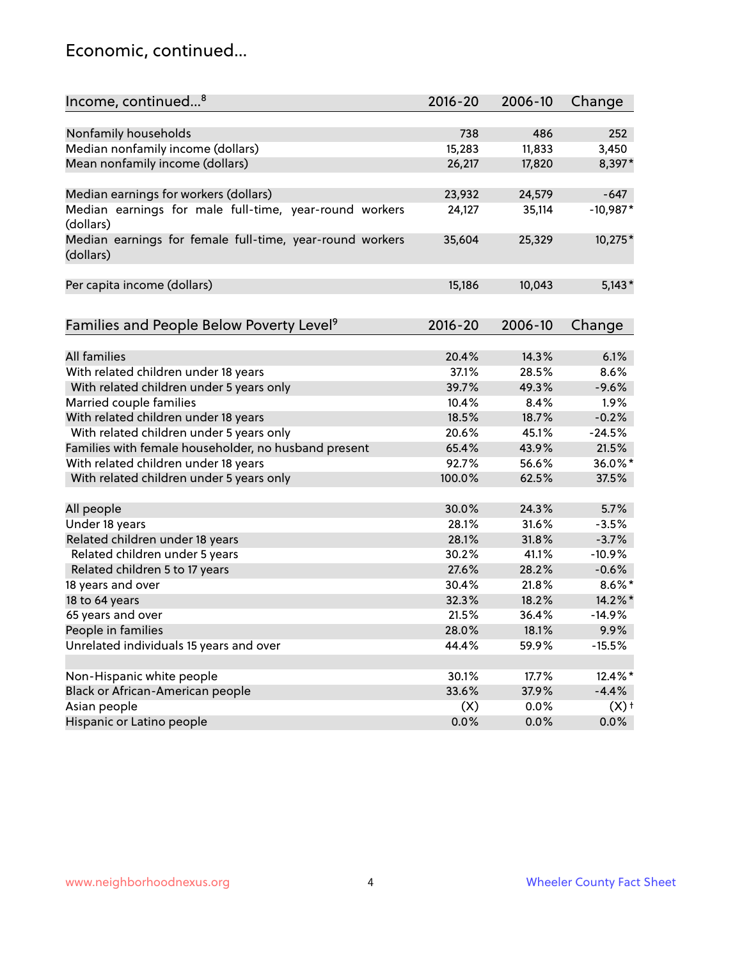#### Economic, continued...

| Income, continued <sup>8</sup>                                        | $2016 - 20$ | 2006-10 | Change             |
|-----------------------------------------------------------------------|-------------|---------|--------------------|
|                                                                       |             |         |                    |
| Nonfamily households                                                  | 738         | 486     | 252                |
| Median nonfamily income (dollars)                                     | 15,283      | 11,833  | 3,450              |
| Mean nonfamily income (dollars)                                       | 26,217      | 17,820  | 8,397*             |
| Median earnings for workers (dollars)                                 | 23,932      | 24,579  | $-647$             |
| Median earnings for male full-time, year-round workers                | 24,127      | 35,114  | $-10,987*$         |
| (dollars)                                                             |             |         |                    |
| Median earnings for female full-time, year-round workers<br>(dollars) | 35,604      | 25,329  | 10,275*            |
| Per capita income (dollars)                                           | 15,186      | 10,043  | $5,143*$           |
|                                                                       |             |         |                    |
| Families and People Below Poverty Level <sup>9</sup>                  | 2016-20     | 2006-10 | Change             |
|                                                                       |             |         |                    |
| <b>All families</b>                                                   | 20.4%       | 14.3%   | 6.1%               |
| With related children under 18 years                                  | 37.1%       | 28.5%   | 8.6%               |
| With related children under 5 years only                              | 39.7%       | 49.3%   | $-9.6%$            |
| Married couple families                                               | 10.4%       | 8.4%    | 1.9%               |
| With related children under 18 years                                  | 18.5%       | 18.7%   | $-0.2%$            |
| With related children under 5 years only                              | 20.6%       | 45.1%   | $-24.5%$           |
| Families with female householder, no husband present                  | 65.4%       | 43.9%   | 21.5%              |
| With related children under 18 years                                  | 92.7%       | 56.6%   | 36.0%*             |
| With related children under 5 years only                              | 100.0%      | 62.5%   | 37.5%              |
| All people                                                            | 30.0%       | 24.3%   | 5.7%               |
| Under 18 years                                                        | 28.1%       | 31.6%   | $-3.5%$            |
| Related children under 18 years                                       | 28.1%       | 31.8%   | $-3.7%$            |
| Related children under 5 years                                        | 30.2%       | 41.1%   | $-10.9%$           |
|                                                                       | 27.6%       | 28.2%   |                    |
| Related children 5 to 17 years                                        |             | 21.8%   | $-0.6%$            |
| 18 years and over                                                     | 30.4%       |         | $8.6\%$ *          |
| 18 to 64 years                                                        | 32.3%       | 18.2%   | 14.2%*             |
| 65 years and over                                                     | 21.5%       | 36.4%   | $-14.9%$           |
| People in families                                                    | 28.0%       | 18.1%   | 9.9%               |
| Unrelated individuals 15 years and over                               | 44.4%       | 59.9%   | $-15.5%$           |
| Non-Hispanic white people                                             | 30.1%       | 17.7%   | 12.4%*             |
| Black or African-American people                                      | 33.6%       | 37.9%   | $-4.4%$            |
| Asian people                                                          | (X)         | 0.0%    | $(X)$ <sup>+</sup> |
| Hispanic or Latino people                                             | 0.0%        | 0.0%    | 0.0%               |
|                                                                       |             |         |                    |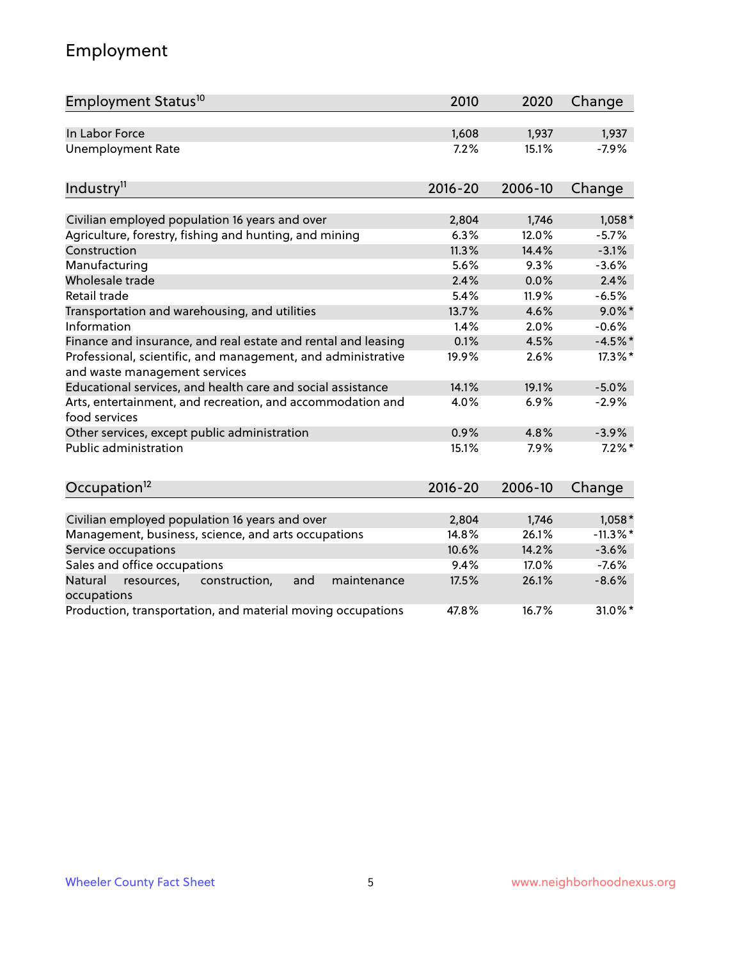# Employment

| Employment Status <sup>10</sup>                                                               | 2010        | 2020    | Change      |
|-----------------------------------------------------------------------------------------------|-------------|---------|-------------|
| In Labor Force                                                                                | 1,608       | 1,937   | 1,937       |
| Unemployment Rate                                                                             | 7.2%        | 15.1%   | $-7.9%$     |
| Industry <sup>11</sup>                                                                        | $2016 - 20$ | 2006-10 | Change      |
|                                                                                               |             |         |             |
| Civilian employed population 16 years and over                                                | 2,804       | 1,746   | $1,058*$    |
| Agriculture, forestry, fishing and hunting, and mining                                        | 6.3%        | 12.0%   | $-5.7%$     |
| Construction                                                                                  | 11.3%       | 14.4%   | $-3.1%$     |
| Manufacturing                                                                                 | 5.6%        | 9.3%    | $-3.6%$     |
| Wholesale trade                                                                               | 2.4%        | 0.0%    | 2.4%        |
| Retail trade                                                                                  | 5.4%        | 11.9%   | $-6.5%$     |
| Transportation and warehousing, and utilities                                                 | 13.7%       | 4.6%    | $9.0\%$ *   |
| Information                                                                                   | 1.4%        | 2.0%    | $-0.6%$     |
| Finance and insurance, and real estate and rental and leasing                                 | 0.1%        | 4.5%    | $-4.5%$ *   |
| Professional, scientific, and management, and administrative<br>and waste management services | 19.9%       | 2.6%    | 17.3%*      |
| Educational services, and health care and social assistance                                   | 14.1%       | 19.1%   | $-5.0%$     |
| Arts, entertainment, and recreation, and accommodation and<br>food services                   | 4.0%        | 6.9%    | $-2.9%$     |
| Other services, except public administration                                                  | 0.9%        | 4.8%    | $-3.9%$     |
| <b>Public administration</b>                                                                  | 15.1%       | 7.9%    | $7.2\%$ *   |
| Occupation <sup>12</sup>                                                                      | $2016 - 20$ | 2006-10 | Change      |
|                                                                                               |             |         |             |
| Civilian employed population 16 years and over                                                | 2,804       | 1,746   | $1,058*$    |
| Management, business, science, and arts occupations                                           | 14.8%       | 26.1%   | $-11.3\%$ * |
| Service occupations                                                                           | 10.6%       | 14.2%   | $-3.6%$     |
| Sales and office occupations                                                                  | 9.4%        | 17.0%   | $-7.6%$     |
| and<br>Natural<br>resources,<br>construction,<br>maintenance<br>occupations                   | 17.5%       | 26.1%   | $-8.6%$     |
| Production, transportation, and material moving occupations                                   | 47.8%       | 16.7%   | 31.0%*      |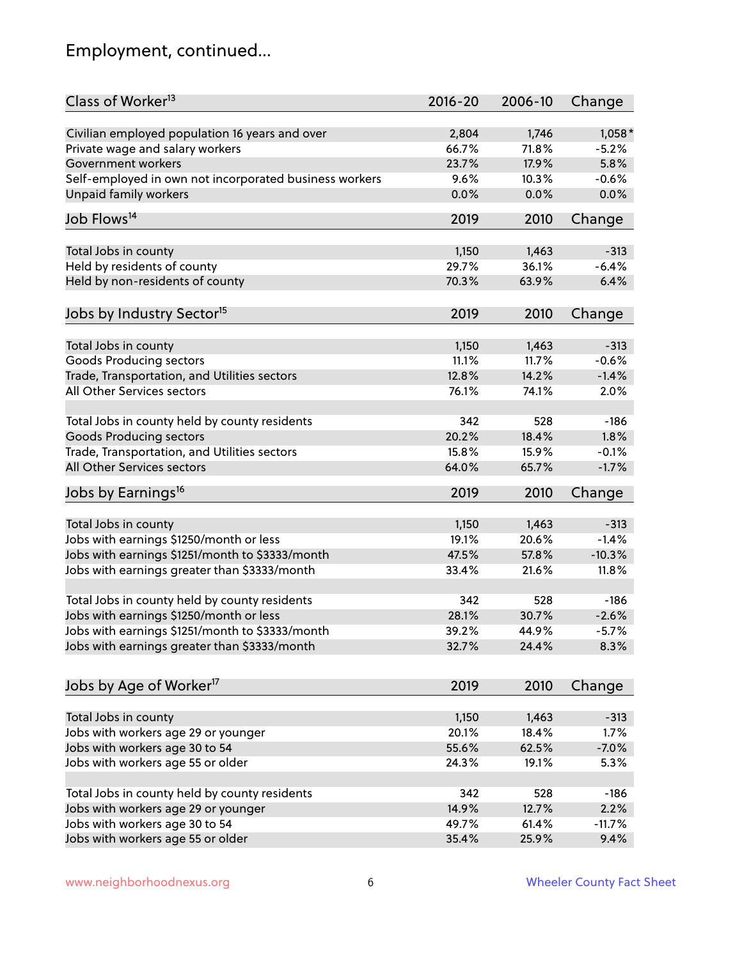# Employment, continued...

| Class of Worker <sup>13</sup>                                                              | $2016 - 20$ | 2006-10 | Change   |
|--------------------------------------------------------------------------------------------|-------------|---------|----------|
| Civilian employed population 16 years and over                                             | 2,804       | 1,746   | $1,058*$ |
| Private wage and salary workers                                                            | 66.7%       | 71.8%   | $-5.2%$  |
| Government workers                                                                         | 23.7%       | 17.9%   | 5.8%     |
| Self-employed in own not incorporated business workers                                     | 9.6%        | 10.3%   | $-0.6%$  |
| <b>Unpaid family workers</b>                                                               | 0.0%        | 0.0%    | 0.0%     |
| Job Flows <sup>14</sup>                                                                    | 2019        | 2010    | Change   |
| Total Jobs in county                                                                       | 1,150       | 1,463   | $-313$   |
| Held by residents of county                                                                | 29.7%       | 36.1%   | $-6.4%$  |
| Held by non-residents of county                                                            | 70.3%       | 63.9%   | 6.4%     |
|                                                                                            |             |         |          |
| Jobs by Industry Sector <sup>15</sup>                                                      | 2019        | 2010    | Change   |
| Total Jobs in county                                                                       | 1,150       | 1,463   | $-313$   |
| <b>Goods Producing sectors</b>                                                             | 11.1%       | 11.7%   | $-0.6%$  |
| Trade, Transportation, and Utilities sectors                                               | 12.8%       | 14.2%   | $-1.4%$  |
| All Other Services sectors                                                                 | 76.1%       | 74.1%   | 2.0%     |
|                                                                                            |             |         |          |
| Total Jobs in county held by county residents                                              | 342         | 528     | $-186$   |
| <b>Goods Producing sectors</b>                                                             | 20.2%       | 18.4%   | 1.8%     |
| Trade, Transportation, and Utilities sectors                                               | 15.8%       | 15.9%   | $-0.1%$  |
| All Other Services sectors                                                                 | 64.0%       | 65.7%   | $-1.7%$  |
| Jobs by Earnings <sup>16</sup>                                                             | 2019        | 2010    | Change   |
|                                                                                            | 1,150       | 1,463   | $-313$   |
| Total Jobs in county                                                                       | 19.1%       | 20.6%   | $-1.4%$  |
| Jobs with earnings \$1250/month or less<br>Jobs with earnings \$1251/month to \$3333/month | 47.5%       | 57.8%   | $-10.3%$ |
|                                                                                            |             |         |          |
| Jobs with earnings greater than \$3333/month                                               | 33.4%       | 21.6%   | 11.8%    |
| Total Jobs in county held by county residents                                              | 342         | 528     | $-186$   |
| Jobs with earnings \$1250/month or less                                                    | 28.1%       | 30.7%   | $-2.6%$  |
| Jobs with earnings \$1251/month to \$3333/month                                            | 39.2%       | 44.9%   | $-5.7\%$ |
| Jobs with earnings greater than \$3333/month                                               | 32.7%       | 24.4%   | 8.3%     |
|                                                                                            |             |         |          |
| Jobs by Age of Worker <sup>17</sup>                                                        | 2019        | 2010    | Change   |
| Total Jobs in county                                                                       | 1,150       | 1,463   | $-313$   |
| Jobs with workers age 29 or younger                                                        | 20.1%       | 18.4%   | 1.7%     |
| Jobs with workers age 30 to 54                                                             | 55.6%       | 62.5%   | $-7.0%$  |
| Jobs with workers age 55 or older                                                          | 24.3%       | 19.1%   | 5.3%     |
|                                                                                            |             |         |          |
| Total Jobs in county held by county residents                                              | 342         | 528     | $-186$   |
| Jobs with workers age 29 or younger                                                        | 14.9%       | 12.7%   | 2.2%     |
| Jobs with workers age 30 to 54                                                             | 49.7%       | 61.4%   | $-11.7%$ |
| Jobs with workers age 55 or older                                                          | 35.4%       | 25.9%   | 9.4%     |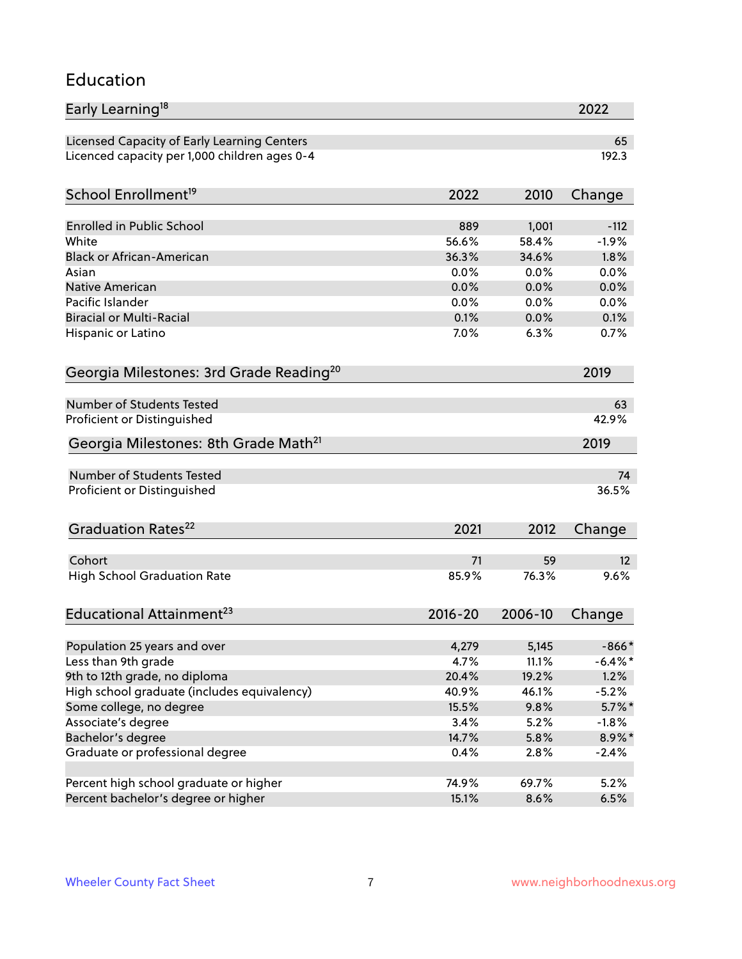#### Education

| Early Learning <sup>18</sup>                        |             |         | 2022       |
|-----------------------------------------------------|-------------|---------|------------|
| Licensed Capacity of Early Learning Centers         |             |         | 65         |
| Licenced capacity per 1,000 children ages 0-4       |             |         | 192.3      |
| School Enrollment <sup>19</sup>                     | 2022        | 2010    | Change     |
|                                                     |             |         |            |
| <b>Enrolled in Public School</b>                    | 889         | 1,001   | $-112$     |
| White                                               | 56.6%       | 58.4%   | $-1.9%$    |
| <b>Black or African-American</b>                    | 36.3%       | 34.6%   | 1.8%       |
| Asian                                               | 0.0%        | 0.0%    | 0.0%       |
| <b>Native American</b>                              | 0.0%        | 0.0%    | 0.0%       |
| Pacific Islander                                    | 0.0%        | 0.0%    | 0.0%       |
| <b>Biracial or Multi-Racial</b>                     | 0.1%        | 0.0%    | 0.1%       |
| Hispanic or Latino                                  | 7.0%        | 6.3%    | 0.7%       |
| Georgia Milestones: 3rd Grade Reading <sup>20</sup> |             |         | 2019       |
|                                                     |             |         |            |
| Number of Students Tested                           |             |         | 63         |
| Proficient or Distinguished                         |             |         | 42.9%      |
| Georgia Milestones: 8th Grade Math <sup>21</sup>    |             |         | 2019       |
| <b>Number of Students Tested</b>                    |             |         | 74         |
| Proficient or Distinguished                         |             |         | 36.5%      |
|                                                     |             |         |            |
| Graduation Rates <sup>22</sup>                      | 2021        | 2012    | Change     |
| Cohort                                              | 71          | 59      | 12         |
| <b>High School Graduation Rate</b>                  | 85.9%       | 76.3%   | 9.6%       |
|                                                     |             |         |            |
| Educational Attainment <sup>23</sup>                | $2016 - 20$ | 2006-10 | Change     |
| Population 25 years and over                        | 4,279       | 5,145   | $-866*$    |
| Less than 9th grade                                 | 4.7%        | 11.1%   | $-6.4\%$ * |
| 9th to 12th grade, no diploma                       | 20.4%       | 19.2%   | 1.2%       |
| High school graduate (includes equivalency)         | 40.9%       | 46.1%   | $-5.2%$    |
| Some college, no degree                             | 15.5%       | 9.8%    | $5.7\%$ *  |
| Associate's degree                                  | 3.4%        | 5.2%    | $-1.8%$    |
| Bachelor's degree                                   | 14.7%       | 5.8%    |            |
|                                                     |             |         | 8.9%*      |
| Graduate or professional degree                     | 0.4%        | 2.8%    | $-2.4%$    |
| Percent high school graduate or higher              | 74.9%       | 69.7%   | 5.2%       |
| Percent bachelor's degree or higher                 | 15.1%       | 8.6%    | 6.5%       |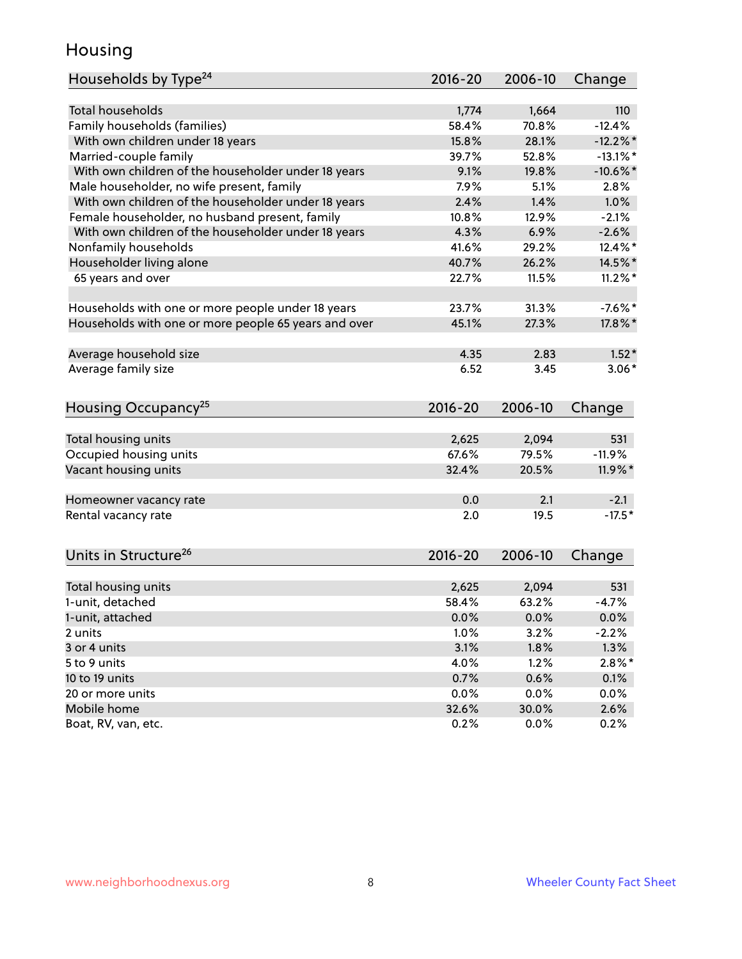#### Housing

| <b>Total households</b><br>1,664<br>1,774<br>110<br>Family households (families)<br>58.4%<br>70.8%<br>$-12.4%$<br>With own children under 18 years<br>15.8%<br>28.1%<br>$-12.2\%$ *<br>Married-couple family<br>39.7%<br>52.8%<br>$-13.1\%$ *<br>With own children of the householder under 18 years<br>9.1%<br>19.8%<br>$-10.6\%$ *<br>Male householder, no wife present, family<br>7.9%<br>5.1%<br>2.8%<br>With own children of the householder under 18 years<br>2.4%<br>1.4%<br>1.0%<br>Female householder, no husband present, family<br>10.8%<br>12.9%<br>$-2.1%$<br>With own children of the householder under 18 years<br>4.3%<br>6.9%<br>$-2.6%$<br>Nonfamily households<br>41.6%<br>12.4%*<br>29.2%<br>Householder living alone<br>14.5%*<br>40.7%<br>26.2%<br>65 years and over<br>11.5%<br>$11.2\%$ *<br>22.7%<br>31.3%<br>Households with one or more people under 18 years<br>23.7%<br>$-7.6%$ *<br>Households with one or more people 65 years and over<br>45.1%<br>27.3%<br>17.8%*<br>Average household size<br>4.35<br>2.83<br>$1.52*$<br>Average family size<br>6.52<br>3.45<br>$3.06*$<br>Housing Occupancy <sup>25</sup><br>$2016 - 20$<br>2006-10<br>Change<br>Total housing units<br>2,625<br>2,094<br>531<br>67.6%<br>Occupied housing units<br>79.5%<br>$-11.9%$<br>Vacant housing units<br>11.9%*<br>32.4%<br>20.5%<br>0.0<br>2.1<br>$-2.1$<br>Homeowner vacancy rate<br>$-17.5*$<br>19.5<br>Rental vacancy rate<br>2.0<br>Units in Structure <sup>26</sup><br>$2016 - 20$<br>2006-10<br>Change<br>Total housing units<br>2,625<br>2,094<br>531<br>1-unit, detached<br>58.4%<br>63.2%<br>$-4.7%$<br>1-unit, attached<br>0.0%<br>0.0%<br>0.0%<br>1.0%<br>3.2%<br>$-2.2%$<br>2 units<br>1.3%<br>3 or 4 units<br>3.1%<br>1.8%<br>$2.8\%$ *<br>4.0%<br>1.2%<br>5 to 9 units<br>0.6%<br>0.7%<br>0.1%<br>10 to 19 units<br>20 or more units<br>0.0%<br>0.0%<br>0.0%<br>Mobile home<br>32.6%<br>30.0%<br>2.6% | Households by Type <sup>24</sup> | 2016-20 | 2006-10 | Change |
|---------------------------------------------------------------------------------------------------------------------------------------------------------------------------------------------------------------------------------------------------------------------------------------------------------------------------------------------------------------------------------------------------------------------------------------------------------------------------------------------------------------------------------------------------------------------------------------------------------------------------------------------------------------------------------------------------------------------------------------------------------------------------------------------------------------------------------------------------------------------------------------------------------------------------------------------------------------------------------------------------------------------------------------------------------------------------------------------------------------------------------------------------------------------------------------------------------------------------------------------------------------------------------------------------------------------------------------------------------------------------------------------------------------------------------------------------------------------------------------------------------------------------------------------------------------------------------------------------------------------------------------------------------------------------------------------------------------------------------------------------------------------------------------------------------------------------------------------------------------------------------------------------------------------------------|----------------------------------|---------|---------|--------|
|                                                                                                                                                                                                                                                                                                                                                                                                                                                                                                                                                                                                                                                                                                                                                                                                                                                                                                                                                                                                                                                                                                                                                                                                                                                                                                                                                                                                                                                                                                                                                                                                                                                                                                                                                                                                                                                                                                                                 |                                  |         |         |        |
|                                                                                                                                                                                                                                                                                                                                                                                                                                                                                                                                                                                                                                                                                                                                                                                                                                                                                                                                                                                                                                                                                                                                                                                                                                                                                                                                                                                                                                                                                                                                                                                                                                                                                                                                                                                                                                                                                                                                 |                                  |         |         |        |
|                                                                                                                                                                                                                                                                                                                                                                                                                                                                                                                                                                                                                                                                                                                                                                                                                                                                                                                                                                                                                                                                                                                                                                                                                                                                                                                                                                                                                                                                                                                                                                                                                                                                                                                                                                                                                                                                                                                                 |                                  |         |         |        |
|                                                                                                                                                                                                                                                                                                                                                                                                                                                                                                                                                                                                                                                                                                                                                                                                                                                                                                                                                                                                                                                                                                                                                                                                                                                                                                                                                                                                                                                                                                                                                                                                                                                                                                                                                                                                                                                                                                                                 |                                  |         |         |        |
|                                                                                                                                                                                                                                                                                                                                                                                                                                                                                                                                                                                                                                                                                                                                                                                                                                                                                                                                                                                                                                                                                                                                                                                                                                                                                                                                                                                                                                                                                                                                                                                                                                                                                                                                                                                                                                                                                                                                 |                                  |         |         |        |
|                                                                                                                                                                                                                                                                                                                                                                                                                                                                                                                                                                                                                                                                                                                                                                                                                                                                                                                                                                                                                                                                                                                                                                                                                                                                                                                                                                                                                                                                                                                                                                                                                                                                                                                                                                                                                                                                                                                                 |                                  |         |         |        |
|                                                                                                                                                                                                                                                                                                                                                                                                                                                                                                                                                                                                                                                                                                                                                                                                                                                                                                                                                                                                                                                                                                                                                                                                                                                                                                                                                                                                                                                                                                                                                                                                                                                                                                                                                                                                                                                                                                                                 |                                  |         |         |        |
|                                                                                                                                                                                                                                                                                                                                                                                                                                                                                                                                                                                                                                                                                                                                                                                                                                                                                                                                                                                                                                                                                                                                                                                                                                                                                                                                                                                                                                                                                                                                                                                                                                                                                                                                                                                                                                                                                                                                 |                                  |         |         |        |
|                                                                                                                                                                                                                                                                                                                                                                                                                                                                                                                                                                                                                                                                                                                                                                                                                                                                                                                                                                                                                                                                                                                                                                                                                                                                                                                                                                                                                                                                                                                                                                                                                                                                                                                                                                                                                                                                                                                                 |                                  |         |         |        |
|                                                                                                                                                                                                                                                                                                                                                                                                                                                                                                                                                                                                                                                                                                                                                                                                                                                                                                                                                                                                                                                                                                                                                                                                                                                                                                                                                                                                                                                                                                                                                                                                                                                                                                                                                                                                                                                                                                                                 |                                  |         |         |        |
|                                                                                                                                                                                                                                                                                                                                                                                                                                                                                                                                                                                                                                                                                                                                                                                                                                                                                                                                                                                                                                                                                                                                                                                                                                                                                                                                                                                                                                                                                                                                                                                                                                                                                                                                                                                                                                                                                                                                 |                                  |         |         |        |
|                                                                                                                                                                                                                                                                                                                                                                                                                                                                                                                                                                                                                                                                                                                                                                                                                                                                                                                                                                                                                                                                                                                                                                                                                                                                                                                                                                                                                                                                                                                                                                                                                                                                                                                                                                                                                                                                                                                                 |                                  |         |         |        |
|                                                                                                                                                                                                                                                                                                                                                                                                                                                                                                                                                                                                                                                                                                                                                                                                                                                                                                                                                                                                                                                                                                                                                                                                                                                                                                                                                                                                                                                                                                                                                                                                                                                                                                                                                                                                                                                                                                                                 |                                  |         |         |        |
|                                                                                                                                                                                                                                                                                                                                                                                                                                                                                                                                                                                                                                                                                                                                                                                                                                                                                                                                                                                                                                                                                                                                                                                                                                                                                                                                                                                                                                                                                                                                                                                                                                                                                                                                                                                                                                                                                                                                 |                                  |         |         |        |
|                                                                                                                                                                                                                                                                                                                                                                                                                                                                                                                                                                                                                                                                                                                                                                                                                                                                                                                                                                                                                                                                                                                                                                                                                                                                                                                                                                                                                                                                                                                                                                                                                                                                                                                                                                                                                                                                                                                                 |                                  |         |         |        |
|                                                                                                                                                                                                                                                                                                                                                                                                                                                                                                                                                                                                                                                                                                                                                                                                                                                                                                                                                                                                                                                                                                                                                                                                                                                                                                                                                                                                                                                                                                                                                                                                                                                                                                                                                                                                                                                                                                                                 |                                  |         |         |        |
|                                                                                                                                                                                                                                                                                                                                                                                                                                                                                                                                                                                                                                                                                                                                                                                                                                                                                                                                                                                                                                                                                                                                                                                                                                                                                                                                                                                                                                                                                                                                                                                                                                                                                                                                                                                                                                                                                                                                 |                                  |         |         |        |
|                                                                                                                                                                                                                                                                                                                                                                                                                                                                                                                                                                                                                                                                                                                                                                                                                                                                                                                                                                                                                                                                                                                                                                                                                                                                                                                                                                                                                                                                                                                                                                                                                                                                                                                                                                                                                                                                                                                                 |                                  |         |         |        |
|                                                                                                                                                                                                                                                                                                                                                                                                                                                                                                                                                                                                                                                                                                                                                                                                                                                                                                                                                                                                                                                                                                                                                                                                                                                                                                                                                                                                                                                                                                                                                                                                                                                                                                                                                                                                                                                                                                                                 |                                  |         |         |        |
|                                                                                                                                                                                                                                                                                                                                                                                                                                                                                                                                                                                                                                                                                                                                                                                                                                                                                                                                                                                                                                                                                                                                                                                                                                                                                                                                                                                                                                                                                                                                                                                                                                                                                                                                                                                                                                                                                                                                 |                                  |         |         |        |
|                                                                                                                                                                                                                                                                                                                                                                                                                                                                                                                                                                                                                                                                                                                                                                                                                                                                                                                                                                                                                                                                                                                                                                                                                                                                                                                                                                                                                                                                                                                                                                                                                                                                                                                                                                                                                                                                                                                                 |                                  |         |         |        |
|                                                                                                                                                                                                                                                                                                                                                                                                                                                                                                                                                                                                                                                                                                                                                                                                                                                                                                                                                                                                                                                                                                                                                                                                                                                                                                                                                                                                                                                                                                                                                                                                                                                                                                                                                                                                                                                                                                                                 |                                  |         |         |        |
|                                                                                                                                                                                                                                                                                                                                                                                                                                                                                                                                                                                                                                                                                                                                                                                                                                                                                                                                                                                                                                                                                                                                                                                                                                                                                                                                                                                                                                                                                                                                                                                                                                                                                                                                                                                                                                                                                                                                 |                                  |         |         |        |
|                                                                                                                                                                                                                                                                                                                                                                                                                                                                                                                                                                                                                                                                                                                                                                                                                                                                                                                                                                                                                                                                                                                                                                                                                                                                                                                                                                                                                                                                                                                                                                                                                                                                                                                                                                                                                                                                                                                                 |                                  |         |         |        |
|                                                                                                                                                                                                                                                                                                                                                                                                                                                                                                                                                                                                                                                                                                                                                                                                                                                                                                                                                                                                                                                                                                                                                                                                                                                                                                                                                                                                                                                                                                                                                                                                                                                                                                                                                                                                                                                                                                                                 |                                  |         |         |        |
|                                                                                                                                                                                                                                                                                                                                                                                                                                                                                                                                                                                                                                                                                                                                                                                                                                                                                                                                                                                                                                                                                                                                                                                                                                                                                                                                                                                                                                                                                                                                                                                                                                                                                                                                                                                                                                                                                                                                 |                                  |         |         |        |
|                                                                                                                                                                                                                                                                                                                                                                                                                                                                                                                                                                                                                                                                                                                                                                                                                                                                                                                                                                                                                                                                                                                                                                                                                                                                                                                                                                                                                                                                                                                                                                                                                                                                                                                                                                                                                                                                                                                                 |                                  |         |         |        |
|                                                                                                                                                                                                                                                                                                                                                                                                                                                                                                                                                                                                                                                                                                                                                                                                                                                                                                                                                                                                                                                                                                                                                                                                                                                                                                                                                                                                                                                                                                                                                                                                                                                                                                                                                                                                                                                                                                                                 |                                  |         |         |        |
|                                                                                                                                                                                                                                                                                                                                                                                                                                                                                                                                                                                                                                                                                                                                                                                                                                                                                                                                                                                                                                                                                                                                                                                                                                                                                                                                                                                                                                                                                                                                                                                                                                                                                                                                                                                                                                                                                                                                 |                                  |         |         |        |
|                                                                                                                                                                                                                                                                                                                                                                                                                                                                                                                                                                                                                                                                                                                                                                                                                                                                                                                                                                                                                                                                                                                                                                                                                                                                                                                                                                                                                                                                                                                                                                                                                                                                                                                                                                                                                                                                                                                                 |                                  |         |         |        |
|                                                                                                                                                                                                                                                                                                                                                                                                                                                                                                                                                                                                                                                                                                                                                                                                                                                                                                                                                                                                                                                                                                                                                                                                                                                                                                                                                                                                                                                                                                                                                                                                                                                                                                                                                                                                                                                                                                                                 |                                  |         |         |        |
|                                                                                                                                                                                                                                                                                                                                                                                                                                                                                                                                                                                                                                                                                                                                                                                                                                                                                                                                                                                                                                                                                                                                                                                                                                                                                                                                                                                                                                                                                                                                                                                                                                                                                                                                                                                                                                                                                                                                 |                                  |         |         |        |
|                                                                                                                                                                                                                                                                                                                                                                                                                                                                                                                                                                                                                                                                                                                                                                                                                                                                                                                                                                                                                                                                                                                                                                                                                                                                                                                                                                                                                                                                                                                                                                                                                                                                                                                                                                                                                                                                                                                                 |                                  |         |         |        |
|                                                                                                                                                                                                                                                                                                                                                                                                                                                                                                                                                                                                                                                                                                                                                                                                                                                                                                                                                                                                                                                                                                                                                                                                                                                                                                                                                                                                                                                                                                                                                                                                                                                                                                                                                                                                                                                                                                                                 |                                  |         |         |        |
|                                                                                                                                                                                                                                                                                                                                                                                                                                                                                                                                                                                                                                                                                                                                                                                                                                                                                                                                                                                                                                                                                                                                                                                                                                                                                                                                                                                                                                                                                                                                                                                                                                                                                                                                                                                                                                                                                                                                 |                                  |         |         |        |
|                                                                                                                                                                                                                                                                                                                                                                                                                                                                                                                                                                                                                                                                                                                                                                                                                                                                                                                                                                                                                                                                                                                                                                                                                                                                                                                                                                                                                                                                                                                                                                                                                                                                                                                                                                                                                                                                                                                                 | Boat, RV, van, etc.              | 0.2%    | 0.0%    | 0.2%   |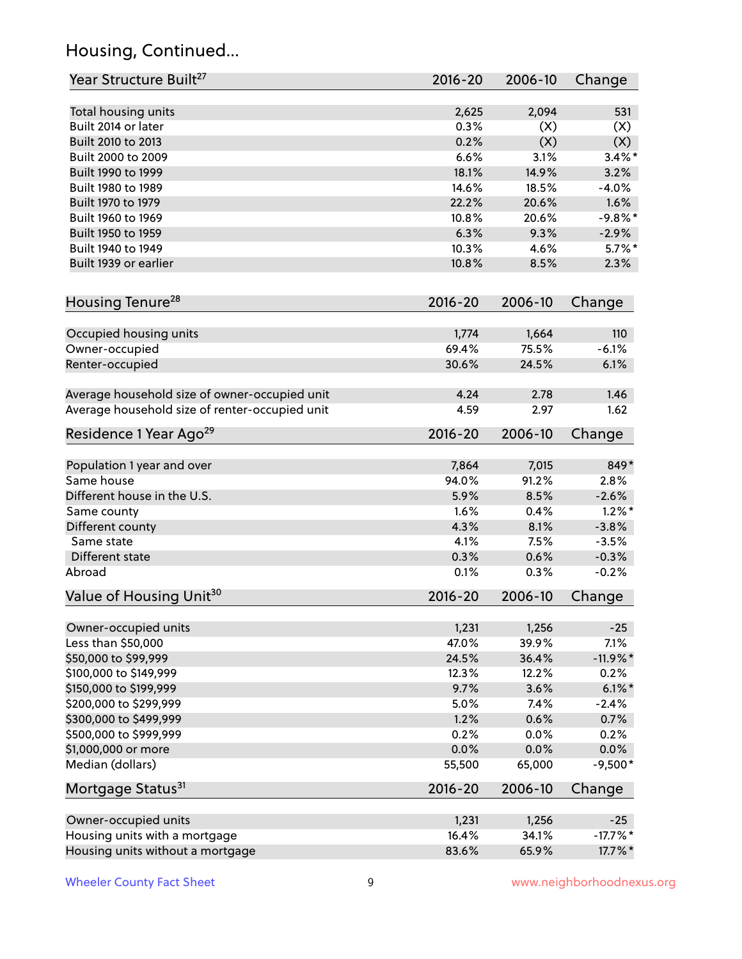# Housing, Continued...

| Year Structure Built <sup>27</sup>             | 2016-20        | 2006-10        | Change         |
|------------------------------------------------|----------------|----------------|----------------|
| Total housing units                            | 2,625          | 2,094          | 531            |
| Built 2014 or later                            | 0.3%           | (X)            | (X)            |
| Built 2010 to 2013                             | 0.2%           | (X)            | (X)            |
| Built 2000 to 2009                             | 6.6%           | 3.1%           | $3.4\%$ *      |
| Built 1990 to 1999                             | 18.1%          | 14.9%          | 3.2%           |
| Built 1980 to 1989                             | 14.6%          | 18.5%          | $-4.0%$        |
| Built 1970 to 1979                             | 22.2%          | 20.6%          | 1.6%           |
| Built 1960 to 1969                             | 10.8%          | 20.6%          | $-9.8%$ *      |
| Built 1950 to 1959                             | 6.3%           | 9.3%           | $-2.9%$        |
| Built 1940 to 1949                             | 10.3%          | 4.6%           | $5.7\%$ *      |
| Built 1939 or earlier                          | 10.8%          | 8.5%           | 2.3%           |
| Housing Tenure <sup>28</sup>                   | 2016-20        | 2006-10        | Change         |
|                                                |                |                |                |
| Occupied housing units                         | 1,774<br>69.4% | 1,664<br>75.5% | 110<br>$-6.1%$ |
| Owner-occupied                                 | 30.6%          | 24.5%          | 6.1%           |
| Renter-occupied                                |                |                |                |
| Average household size of owner-occupied unit  | 4.24           | 2.78           | 1.46           |
| Average household size of renter-occupied unit | 4.59           | 2.97           | 1.62           |
| Residence 1 Year Ago <sup>29</sup>             | 2016-20        | 2006-10        | Change         |
|                                                |                |                |                |
| Population 1 year and over                     | 7,864          | 7,015          | 849*           |
| Same house                                     | 94.0%          | 91.2%          | 2.8%           |
| Different house in the U.S.                    | 5.9%           | 8.5%           | $-2.6%$        |
| Same county                                    | 1.6%           | 0.4%           | $1.2\%$ *      |
| Different county                               | 4.3%           | 8.1%           | $-3.8%$        |
| Same state                                     | 4.1%           | 7.5%           | $-3.5%$        |
| Different state                                | 0.3%           | 0.6%           | $-0.3%$        |
| Abroad                                         | 0.1%           | 0.3%           | $-0.2%$        |
| Value of Housing Unit <sup>30</sup>            | 2016-20        | 2006-10        | Change         |
|                                                |                | 1,256          | $-25$          |
| Owner-occupied units<br>Less than \$50,000     | 1,231<br>47.0% | 39.9%          | 7.1%           |
| \$50,000 to \$99,999                           | 24.5%          | 36.4%          | $-11.9\%$ *    |
| \$100,000 to \$149,999                         | 12.3%          | 12.2%          | 0.2%           |
| \$150,000 to \$199,999                         | 9.7%           | 3.6%           | $6.1\%$ *      |
| \$200,000 to \$299,999                         | 5.0%           | 7.4%           | $-2.4%$        |
| \$300,000 to \$499,999                         | 1.2%           | 0.6%           | 0.7%           |
| \$500,000 to \$999,999                         | 0.2%           | 0.0%           | 0.2%           |
| \$1,000,000 or more                            | 0.0%           | 0.0%           | 0.0%           |
| Median (dollars)                               | 55,500         | 65,000         | $-9,500*$      |
| Mortgage Status <sup>31</sup>                  | $2016 - 20$    | 2006-10        | Change         |
|                                                |                |                |                |
| Owner-occupied units                           | 1,231          | 1,256          | $-25$          |
| Housing units with a mortgage                  | 16.4%          | 34.1%          | $-17.7%$ *     |
| Housing units without a mortgage               | 83.6%          | 65.9%          | 17.7%*         |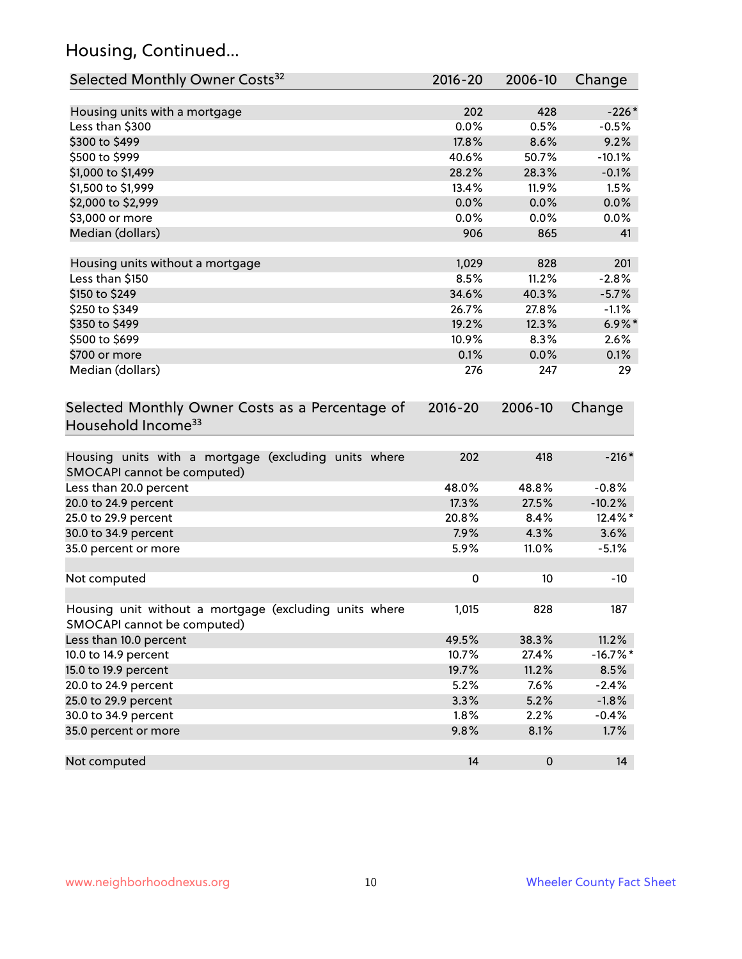# Housing, Continued...

| Selected Monthly Owner Costs <sup>32</sup>                                            | 2016-20     | 2006-10 | Change      |
|---------------------------------------------------------------------------------------|-------------|---------|-------------|
| Housing units with a mortgage                                                         | 202         | 428     | $-226*$     |
| Less than \$300                                                                       | 0.0%        | 0.5%    | $-0.5%$     |
| \$300 to \$499                                                                        | 17.8%       | 8.6%    | 9.2%        |
| \$500 to \$999                                                                        | 40.6%       | 50.7%   | $-10.1%$    |
| \$1,000 to \$1,499                                                                    | 28.2%       | 28.3%   | $-0.1%$     |
| \$1,500 to \$1,999                                                                    | 13.4%       | 11.9%   | 1.5%        |
| \$2,000 to \$2,999                                                                    | 0.0%        | 0.0%    | 0.0%        |
| \$3,000 or more                                                                       | 0.0%        | 0.0%    | 0.0%        |
| Median (dollars)                                                                      | 906         | 865     | 41          |
| Housing units without a mortgage                                                      | 1,029       | 828     | 201         |
| Less than \$150                                                                       | 8.5%        | 11.2%   | $-2.8%$     |
| \$150 to \$249                                                                        | 34.6%       | 40.3%   | $-5.7%$     |
| \$250 to \$349                                                                        | 26.7%       | 27.8%   | $-1.1%$     |
| \$350 to \$499                                                                        | 19.2%       | 12.3%   | $6.9\%$ *   |
| \$500 to \$699                                                                        | 10.9%       | 8.3%    | 2.6%        |
| \$700 or more                                                                         | 0.1%        | 0.0%    | 0.1%        |
| Median (dollars)                                                                      | 276         | 247     | 29          |
| Selected Monthly Owner Costs as a Percentage of<br>Household Income <sup>33</sup>     | $2016 - 20$ | 2006-10 | Change      |
| Housing units with a mortgage (excluding units where<br>SMOCAPI cannot be computed)   | 202         | 418     | $-216*$     |
| Less than 20.0 percent                                                                | 48.0%       | 48.8%   | $-0.8%$     |
| 20.0 to 24.9 percent                                                                  | 17.3%       | 27.5%   | $-10.2%$    |
| 25.0 to 29.9 percent                                                                  | 20.8%       | 8.4%    | 12.4%*      |
| 30.0 to 34.9 percent                                                                  | 7.9%        | 4.3%    | 3.6%        |
| 35.0 percent or more                                                                  | 5.9%        | 11.0%   | $-5.1%$     |
| Not computed                                                                          | $\pmb{0}$   | 10      | $-10$       |
| Housing unit without a mortgage (excluding units where<br>SMOCAPI cannot be computed) | 1,015       | 828     | 187         |
| Less than 10.0 percent                                                                | 49.5%       | 38.3%   | 11.2%       |
| 10.0 to 14.9 percent                                                                  | 10.7%       | 27.4%   | $-16.7\%$ * |
| 15.0 to 19.9 percent                                                                  | 19.7%       | 11.2%   | 8.5%        |
| 20.0 to 24.9 percent                                                                  | 5.2%        | 7.6%    | $-2.4%$     |
| 25.0 to 29.9 percent                                                                  | 3.3%        | 5.2%    | $-1.8%$     |
| 30.0 to 34.9 percent                                                                  | 1.8%        | 2.2%    | $-0.4%$     |
| 35.0 percent or more                                                                  | 9.8%        | 8.1%    | 1.7%        |
| Not computed                                                                          | 14          | 0       | 14          |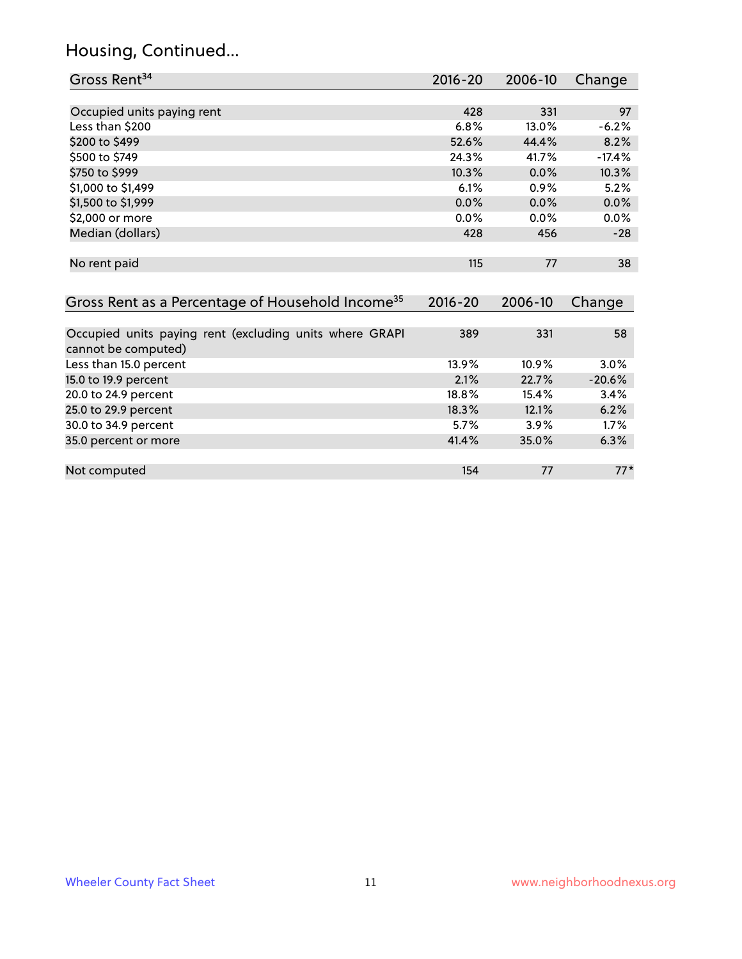# Housing, Continued...

| Gross Rent <sup>34</sup>                                                       | $2016 - 20$ | $2006 - 10$ | Change   |
|--------------------------------------------------------------------------------|-------------|-------------|----------|
|                                                                                |             |             |          |
| Occupied units paying rent                                                     | 428         | 331         | 97       |
| Less than \$200                                                                | 6.8%        | 13.0%       | $-6.2%$  |
| \$200 to \$499                                                                 | 52.6%       | 44.4%       | 8.2%     |
| \$500 to \$749                                                                 | 24.3%       | 41.7%       | $-17.4%$ |
| \$750 to \$999                                                                 | 10.3%       | 0.0%        | 10.3%    |
| \$1,000 to \$1,499                                                             | 6.1%        | 0.9%        | 5.2%     |
| \$1,500 to \$1,999                                                             | 0.0%        | 0.0%        | 0.0%     |
| \$2,000 or more                                                                | 0.0%        | 0.0%        | 0.0%     |
| Median (dollars)                                                               | 428         | 456         | $-28$    |
| No rent paid                                                                   | 115         | 77          | 38       |
| Gross Rent as a Percentage of Household Income <sup>35</sup>                   | $2016 - 20$ | 2006-10     | Change   |
| Occupied units paying rent (excluding units where GRAPI<br>cannot be computed) | 389         | 331         | 58       |
| Less than 15.0 percent                                                         | 13.9%       | 10.9%       | 3.0%     |
| 15.0 to 19.9 percent                                                           | 2.1%        | 22.7%       | $-20.6%$ |
| 20.0 to 24.9 percent                                                           | 18.8%       | 15.4%       | 3.4%     |
| 25.0 to 29.9 percent                                                           | 18.3%       | 12.1%       | 6.2%     |
| 30.0 to 34.9 percent                                                           | 5.7%        | 3.9%        | 1.7%     |
| 35.0 percent or more                                                           | 41.4%       | 35.0%       | 6.3%     |
| Not computed                                                                   | 154         | 77          | $77*$    |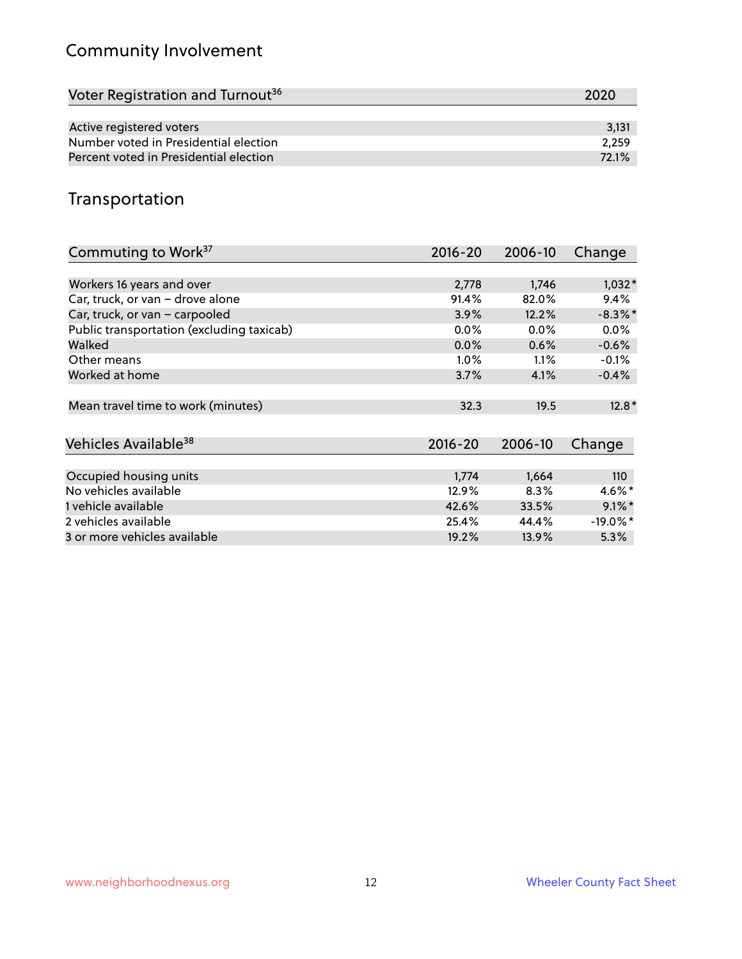# Community Involvement

| Voter Registration and Turnout <sup>36</sup> | 2020  |
|----------------------------------------------|-------|
|                                              |       |
| Active registered voters                     | 3,131 |
| Number voted in Presidential election        | 2.259 |
| Percent voted in Presidential election       | 72.1% |

#### Transportation

| Commuting to Work <sup>37</sup>           | 2016-20     | 2006-10 | Change      |
|-------------------------------------------|-------------|---------|-------------|
|                                           |             |         |             |
| Workers 16 years and over                 | 2,778       | 1,746   | $1,032*$    |
| Car, truck, or van - drove alone          | 91.4%       | 82.0%   | 9.4%        |
| Car, truck, or van - carpooled            | 3.9%        | 12.2%   | $-8.3\%$ *  |
| Public transportation (excluding taxicab) | $0.0\%$     | $0.0\%$ | $0.0\%$     |
| Walked                                    | 0.0%        | 0.6%    | $-0.6%$     |
| Other means                               | $1.0\%$     | $1.1\%$ | $-0.1%$     |
| Worked at home                            | 3.7%        | 4.1%    | $-0.4%$     |
| Mean travel time to work (minutes)        | 32.3        | 19.5    | $12.8*$     |
| Vehicles Available <sup>38</sup>          | $2016 - 20$ | 2006-10 | Change      |
| Occupied housing units                    | 1,774       | 1,664   | 110         |
| No vehicles available                     |             |         |             |
|                                           | 12.9%       | 8.3%    | $4.6\%$ *   |
| 1 vehicle available                       | 42.6%       | 33.5%   | $9.1\%$ *   |
| 2 vehicles available                      | 25.4%       | 44.4%   | $-19.0\%$ * |
| 3 or more vehicles available              | 19.2%       | 13.9%   | $5.3\%$     |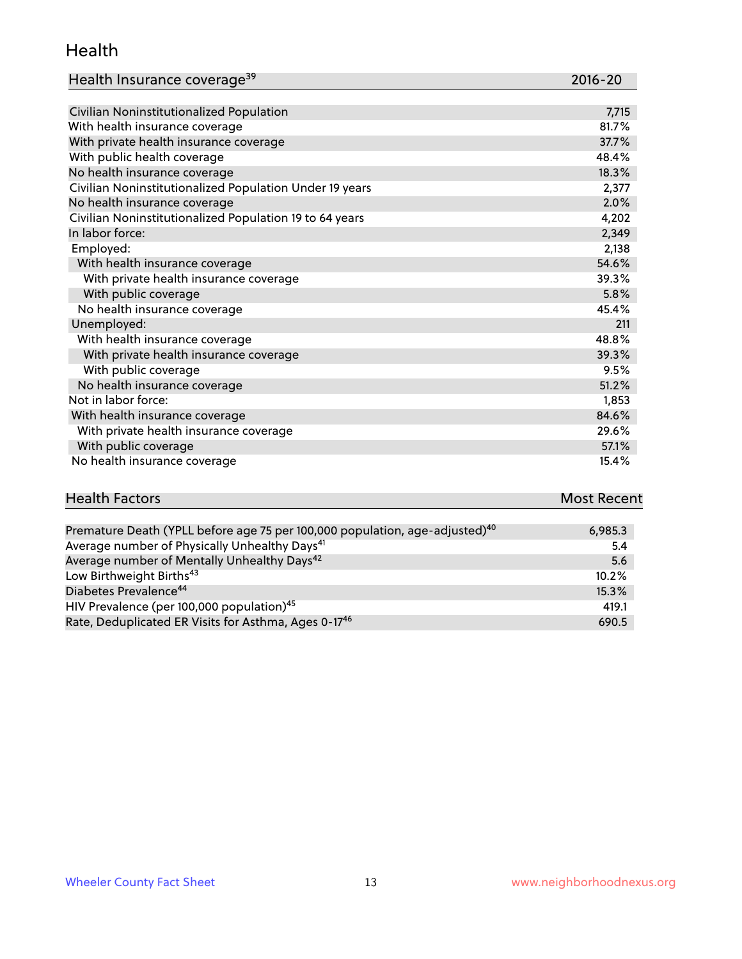#### Health

| Health Insurance coverage <sup>39</sup> | 2016-20 |
|-----------------------------------------|---------|
|-----------------------------------------|---------|

| Civilian Noninstitutionalized Population                | 7,715 |
|---------------------------------------------------------|-------|
| With health insurance coverage                          | 81.7% |
| With private health insurance coverage                  | 37.7% |
| With public health coverage                             | 48.4% |
| No health insurance coverage                            | 18.3% |
| Civilian Noninstitutionalized Population Under 19 years | 2,377 |
| No health insurance coverage                            | 2.0%  |
| Civilian Noninstitutionalized Population 19 to 64 years | 4,202 |
| In labor force:                                         | 2,349 |
| Employed:                                               | 2,138 |
| With health insurance coverage                          | 54.6% |
| With private health insurance coverage                  | 39.3% |
| With public coverage                                    | 5.8%  |
| No health insurance coverage                            | 45.4% |
| Unemployed:                                             | 211   |
| With health insurance coverage                          | 48.8% |
| With private health insurance coverage                  | 39.3% |
| With public coverage                                    | 9.5%  |
| No health insurance coverage                            | 51.2% |
| Not in labor force:                                     | 1,853 |
| With health insurance coverage                          | 84.6% |
| With private health insurance coverage                  | 29.6% |
| With public coverage                                    | 57.1% |
| No health insurance coverage                            | 15.4% |

# **Health Factors Most Recent** And The Control of the Control of The Control of The Control of The Control of The Control of The Control of The Control of The Control of The Control of The Control of The Control of The Contr

| Premature Death (YPLL before age 75 per 100,000 population, age-adjusted) <sup>40</sup> | 6,985.3 |
|-----------------------------------------------------------------------------------------|---------|
| Average number of Physically Unhealthy Days <sup>41</sup>                               | 5.4     |
| Average number of Mentally Unhealthy Days <sup>42</sup>                                 | 5.6     |
| Low Birthweight Births <sup>43</sup>                                                    | 10.2%   |
| Diabetes Prevalence <sup>44</sup>                                                       | 15.3%   |
| HIV Prevalence (per 100,000 population) <sup>45</sup>                                   | 419.1   |
| Rate, Deduplicated ER Visits for Asthma, Ages 0-17 <sup>46</sup>                        | 690.5   |